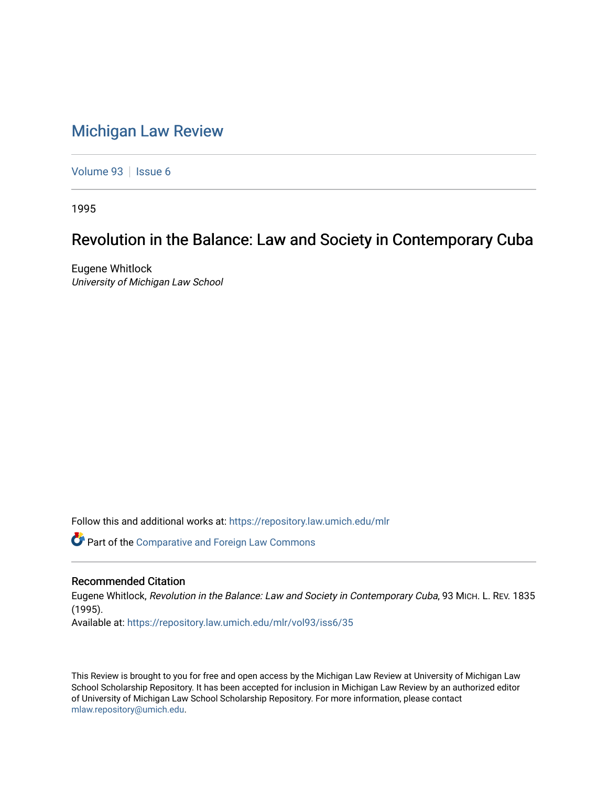## [Michigan Law Review](https://repository.law.umich.edu/mlr)

[Volume 93](https://repository.law.umich.edu/mlr/vol93) | [Issue 6](https://repository.law.umich.edu/mlr/vol93/iss6)

1995

## Revolution in the Balance: Law and Society in Contemporary Cuba

Eugene Whitlock University of Michigan Law School

Follow this and additional works at: [https://repository.law.umich.edu/mlr](https://repository.law.umich.edu/mlr?utm_source=repository.law.umich.edu%2Fmlr%2Fvol93%2Fiss6%2F35&utm_medium=PDF&utm_campaign=PDFCoverPages) 

**C** Part of the Comparative and Foreign Law Commons

## Recommended Citation

Eugene Whitlock, Revolution in the Balance: Law and Society in Contemporary Cuba, 93 MICH. L. REV. 1835 (1995). Available at: [https://repository.law.umich.edu/mlr/vol93/iss6/35](https://repository.law.umich.edu/mlr/vol93/iss6/35?utm_source=repository.law.umich.edu%2Fmlr%2Fvol93%2Fiss6%2F35&utm_medium=PDF&utm_campaign=PDFCoverPages) 

This Review is brought to you for free and open access by the Michigan Law Review at University of Michigan Law School Scholarship Repository. It has been accepted for inclusion in Michigan Law Review by an authorized editor of University of Michigan Law School Scholarship Repository. For more information, please contact [mlaw.repository@umich.edu.](mailto:mlaw.repository@umich.edu)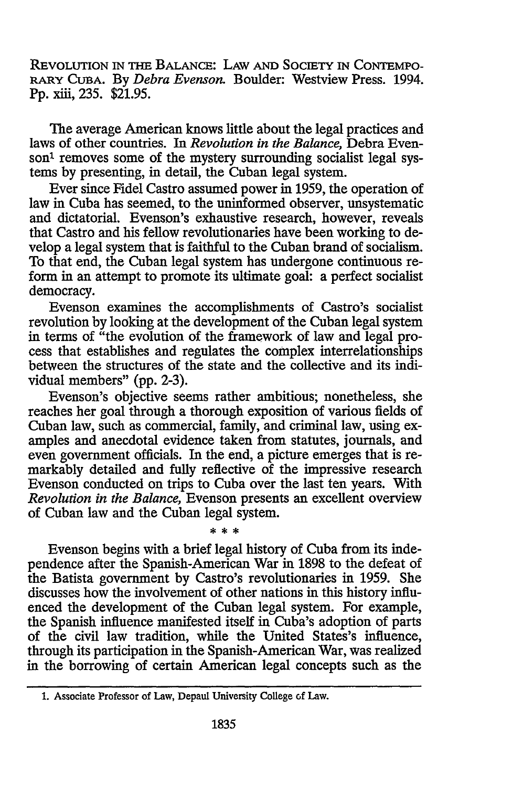REVOLUTION IN THE BALANCE: LAW AND SOCIETY IN CONTEMPO-RARY CuBA. By *Debra Evenson.* Boulder: Westview Press. 1994. Pp. xiii, 235. \$21.95.

The average American knows little about the legal practices and laws of other countries. In *Revolution in the Balance,* Debra Evenson<sup>1</sup> removes some of the mystery surrounding socialist legal systems by presenting, in detail, the Cuban legal system.

Ever since Fidel Castro assumed power in 1959, the operation of law in Cuba has seemed, to the uninformed observer, unsystematic and dictatorial. Evenson's exhaustive research, however, reveals that Castro and his fellow revolutionaries have been working to develop a legal system that is faithful to the Cuban brand of socialism. To that end, the Cuban legal system has undergone continuous reform in an attempt to promote its ultimate goal: a perfect socialist democracy.

Evenson examines the accomplishments of Castro's socialist revolution by looking at the development of the Cuban legal system in terms of "the evolution of the framework of law and legal process that establishes and regulates the complex interrelationships between the structures of the state and the collective and its individual members" (pp. 2-3).

Evenson's objective seems rather ambitious; nonetheless, she reaches her goal through a thorough exposition of various fields of Cuban law, such as commercial, family, and criminal law, using examples and anecdotal evidence taken from statutes, journals, and even government officials. In the end, a picture emerges that is remarkably detailed and fully reflective of the impressive research Evenson conducted on trips to Cuba over the last ten years. With *Revolution in the Balance,* Evenson presents an excellent overview of Cuban law and the Cuban legal system.

\* \* \*

Evenson begins with a brief legal history of Cuba from its independence after the Spanish-American War in 1898 to the defeat of the Batista government by Castro's revolutionaries in 1959. She discusses how the involvement of other nations in this history influenced the development of the Cuban legal system. For example, the Spanish influence manifested itself in Cuba's adoption of parts of the civil law tradition, while the United States's influence, through its participation in the Spanish-American War, was realized in the borrowing of certain American legal concepts such as the

<sup>1.</sup> Associate Professor of Law, Depaul University College of Law.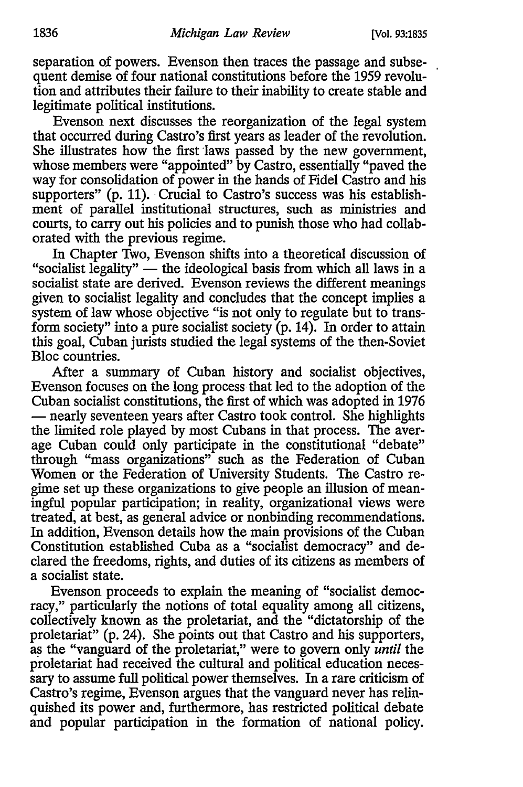separation of powers. Evenson then traces the passage and subsequent demise of four national constitutions before the 1959 revolution and attributes their failure to their inability to create stable and legitimate political institutions.

Evenson next discusses the reorganization of the legal system that occurred during Castro's first years as leader of the revolution. She illustrates how the first laws passed by the new government, whose members were "appointed" by Castro, essentially "paved the way for consolidation of power in the hands of Fidel Castro and his supporters" (p. 11). Crucial to Castro's success was his establishment of parallel institutional structures, such as ministries and courts, to carry out his policies and to punish those who had collaborated with the previous regime.

In Chapter Two, Evenson shifts into a theoretical discussion of "socialist legality"  $-$  the ideological basis from which all laws in a socialist state are derived. Evenson reviews the different meanings given to socialist legality and concludes that the concept implies a system of law whose objective "is not only to regulate but to transform society" into a pure socialist society (p. 14). In order to attain this goal, Cuban jurists studied the legal systems of the then-Soviet Bloc countries.

After a summary of Cuban history and socialist objectives, Evenson focuses on the long process that led to the adoption of the Cuban socialist constitutions, the first of which was adopted in 1976 - nearly seventeen years after Castro took control. She highlights the limited role played by most Cubans in that process. The average Cuban could only participate in the constitutional "debate" through "mass organizations" such as the Federation of Cuban Women or the Federation of University Students. The Castro regime set up these organizations to give people an illusion of meaningful popular participation; in reality, organizational views were treated, at best, as general advice or nonbinding recommendations. In addition, Evenson details how the main provisions of the Cuban Constitution established Cuba as a "socialist democracy" and declared the freedoms, rights, and duties of its citizens as members of a socialist state.

Evenson proceeds to explain the meaning of "socialist democracy," particularly the notions of total equality among all citizens, collectively known as the proletariat, and the "dictatorship of the proletariat" (p. 24). She points out that Castro and his supporters, as the "vanguard of the proletariat," were to govern only *until* the proletariat had received the cultural and political education necessary to assume full political power themselves. In a rare criticism of Castro's regime, Evenson argues that the vanguard never has relinquished its power and, furthermore, has restricted political debate and popular participation in the formation of national policy.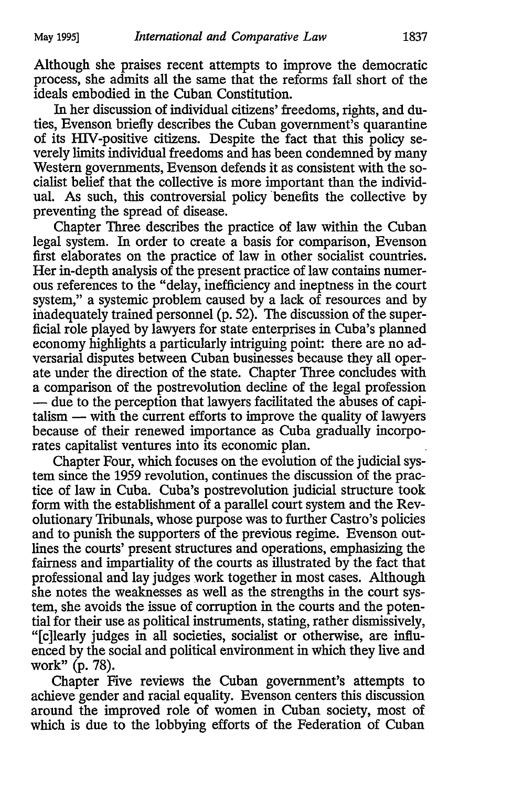Although she praises recent attempts to improve the democratic process, she admits all the same that the reforms fall short of the ideals embodied in the Cuban Constitution.

In her discussion of individual citizens' freedoms, rights, and duties, Evenson briefly describes the Cuban government's quarantine of its IDV-positive citizens. Despite the fact that this policy severely limits individual freedoms and has been condemned by many Western governments, Evenson defends it as consistent with the socialist belief that the collective is more important than the individual. As such, this controversial policy ·benefits the collective by preventing the spread of disease.

Chapter Three describes the practice of law within the Cuban legal system. In order to create a basis for comparison, Evenson first elaborates on the practice of law in other socialist countries. Her in-depth analysis of the present practice of law contains numerous references to the "delay, inefficiency and ineptness in the court system," a systemic problem caused by a lack of resources and by inadequately trained personnel (p. 52). The discussion of the superficial role played by lawyers for state enterprises in Cuba's planned economy highlights a particularly intriguing point: there are no adversarial disputes between Cuban businesses because they all operate under the direction of the state. Chapter Three concludes with a comparison of the postrevolution decline of the legal profession - due to the perception that lawyers facilitated the abuses of capi $t$ alism  $-$  with the current efforts to improve the quality of lawyers because of their renewed importance as Cuba gradually incorporates capitalist ventures into its economic plan.

Chapter Four, which focuses on the evolution of the judicial system since the 1959 revolution, continues the discussion of the practice of law in Cuba. Cuba's postrevolution judicial structure took form with the establishment of a parallel court system and the Revolutionary Tribunals, whose purpose was to further Castro's policies and to punish the supporters of the previous regime. Evenson outlines the courts' present structures and operations, emphasizing the fairness and impartiality of the courts as illustrated by the fact that professional and lay judges work together in most cases. Although she notes the weaknesses as well as the strengths in the court system, she avoids the issue of corruption in the courts and the potential for their use as political instruments, stating, rather dismissively, "[c]learly judges in all societies, socialist or otherwise, are influenced by the social and political environment in which they live and work" (p. 78).

Chapter Five reviews the Cuban government's attempts to achieve gender and racial equality. Evenson centers this discussion around the improved role of women in Cuban society, most of which is due to the lobbying efforts of the Federation of Cuban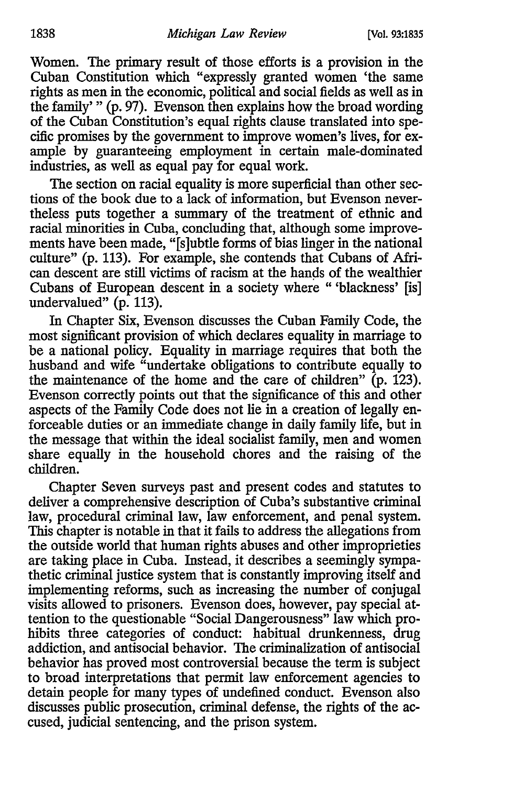Women. The primary result of those efforts is a provision in the Cuban Constitution which "expressly granted women 'the same rights as men in the economic, political and social fields as well as in the family' " (p. 97). Evenson then explains how the broad wording of the Cuban Constitution's equal rights clause translated into specific promises by the government to improve women's lives, for example by guaranteeing employment in certain male-dominated industries, as well as equal pay for equal work.

The section on racial equality is more superficial than other sections of the book due to a lack of information, but Evenson nevertheless puts together a summary of the treatment of ethnic and racial minorities in Cuba, concluding that, although some improvements have been made, "[s]ubtle forms of bias linger in the national culture" (p. 113). For example, she contends that Cubans of African descent are still victims of racism at the hands of the wealthier Cubans of European descent in a society where " 'blackness' [is] undervalued" (p. 113).

In Chapter Six, Evenson discusses the Cuban Family Code, the most significant provision of which declares equality in marriage to be a national policy. Equality in marriage requires that both the husband and wife "undertake obligations to contribute equally to the maintenance of the home and the care of children"  $(p. 123)$ . Evenson correctly points out that the significance of this and other aspects of the Family Code does not lie in a creation of legally enforceable duties or an immediate change in daily family life, but in the message that within the ideal socialist family, men and women share equally in the household chores and the raising of the children.

Chapter Seven surveys past and present codes and statutes to deliver a comprehensive description of Cuba's substantive criminal law, procedural criminal law, law enforcement, and penal system. This chapter is notable in that it fails to address the allegations from the outside world that human rights abuses and other improprieties are taking place in Cuba. Instead, it describes a seemingly sympathetic criminal justice system that is constantly improving itself and implementing reforms, such as increasing the number of conjugal visits allowed to prisoners. Evenson does, however, pay special attention to the questionable "Social Dangerousness" law which prohibits three categories of conduct: habitual drunkenness, drug addiction, and antisocial behavior. The criminalization of antisocial behavior has proved most controversial because the term is subject to broad interpretations that permit law enforcement agencies to detain people for many types of undefined conduct. Evenson also discusses public prosecution, criminal defense, the rights of the accused, judicial sentencing, and the prison system.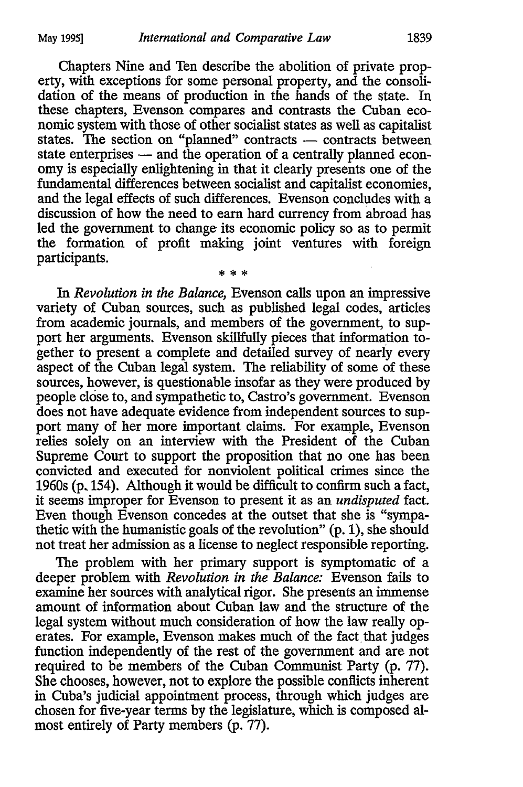Chapters Nine and Ten describe the abolition of private property, with exceptions for some personal property, and the consolidation of the means of production in the hands of the state. In these chapters, Evenson compares and contrasts the Cuban economic system with those of other socialist states as well as capitalist states. The section on "planned" contracts - contracts between state enterprises  $-$  and the operation of a centrally planned economy is especially enlightening in that it clearly presents one of the fundamental differences between socialist and capitalist economies, and the legal effects of such differences. Evenson concludes with a discussion of how the need to earn hard currency from abroad has led the government to change its economic policy so as to permit the formation of profit making joint ventures with foreign participants.

\* \* \*

In *Revolution in the Balance,* Evenson calls upon an impressive variety of Cuban sources, such as published legal codes, articles from academic journals, and members of the government, to support her arguments. Evenson skiilfully pieces that information together to present a complete and detailed survey of nearly every aspect of the Cuban legal system. The reliability of some of these sources, however, is questionable insofar as they were produced by people close to, and sympathetic to, Castro's government. Evenson does not have adequate evidence from independent sources to support many of her more important claims. For example, Evenson relies solely on an interview with the President of the Cuban Supreme Court to support the proposition that no one has been convicted and executed for nonviolent political crimes since the 1960s (p. 154). Although it would be difficult to confirm such a fact, it seems improper for Evenson to present it as an *undisputed* fact. Even though Evenson concedes at the outset that she is "sympathetic with the humanistic goals of the revolution" (p. 1), she should not treat her admission as a license to neglect responsible reporting.

The problem with her primary support is symptomatic of a deeper problem with *Revolution in the Balance:* Evenson fails to examine her sources with analytical rigor. She presents an immense amount of information about Cuban law and the structure of the legal system without much consideration of how the law really operates. For example, Evenson makes much of the fact that judges function independently of the rest of the government and are not required to be members of the Cuban Communist Party (p. 77). She chooses, however, not to explore the possible conflicts inherent in Cuba's judicial appointment process, through which judges are chosen for five-year terms by the legislature, which is composed almost entirely of Party members (p. 77).